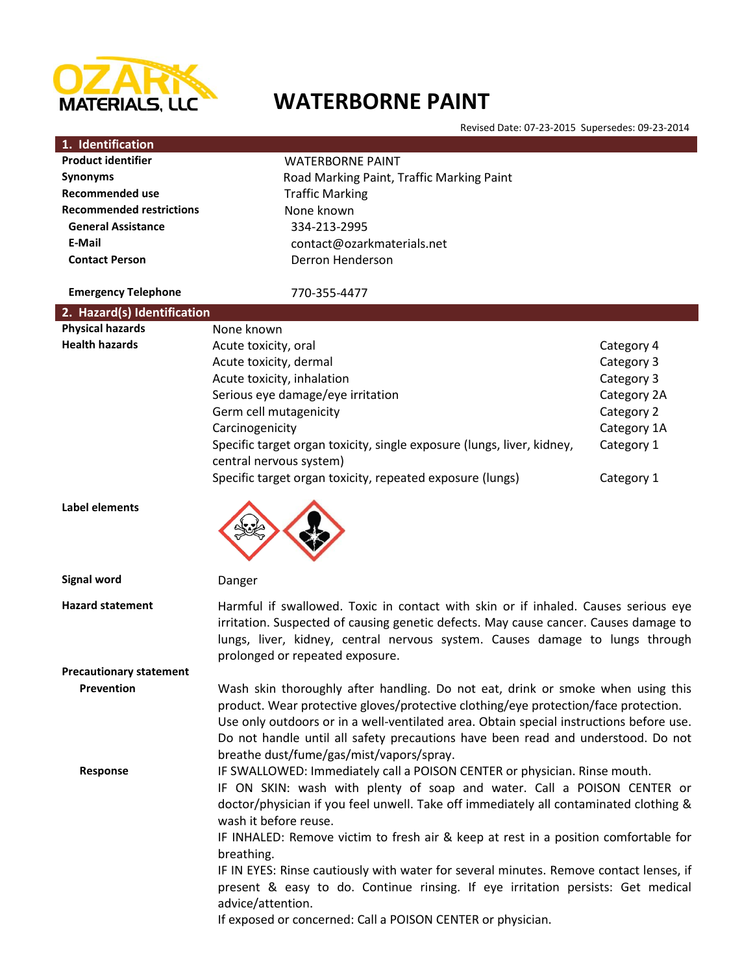

 $\overline{\phantom{a}}$ 

# **WATERBORNE PAINT**

Revised Date: 07-23-2015 Supersedes: 09-23-2014

|                                 | hovisca Date: 07-25-2015-3aperscaes: 05-25-2014                                                                                                                                                                                                                                                                                                                                                   |             |  |
|---------------------------------|---------------------------------------------------------------------------------------------------------------------------------------------------------------------------------------------------------------------------------------------------------------------------------------------------------------------------------------------------------------------------------------------------|-------------|--|
| 1. Identification               |                                                                                                                                                                                                                                                                                                                                                                                                   |             |  |
| <b>Product identifier</b>       | <b>WATERBORNE PAINT</b>                                                                                                                                                                                                                                                                                                                                                                           |             |  |
| <b>Synonyms</b>                 | Road Marking Paint, Traffic Marking Paint                                                                                                                                                                                                                                                                                                                                                         |             |  |
| <b>Recommended use</b>          | <b>Traffic Marking</b>                                                                                                                                                                                                                                                                                                                                                                            |             |  |
| <b>Recommended restrictions</b> | None known                                                                                                                                                                                                                                                                                                                                                                                        |             |  |
| <b>General Assistance</b>       | 334-213-2995                                                                                                                                                                                                                                                                                                                                                                                      |             |  |
| E-Mail                          | contact@ozarkmaterials.net                                                                                                                                                                                                                                                                                                                                                                        |             |  |
| <b>Contact Person</b>           | Derron Henderson                                                                                                                                                                                                                                                                                                                                                                                  |             |  |
|                                 |                                                                                                                                                                                                                                                                                                                                                                                                   |             |  |
| <b>Emergency Telephone</b>      | 770-355-4477                                                                                                                                                                                                                                                                                                                                                                                      |             |  |
| 2. Hazard(s) Identification     |                                                                                                                                                                                                                                                                                                                                                                                                   |             |  |
| <b>Physical hazards</b>         | None known                                                                                                                                                                                                                                                                                                                                                                                        |             |  |
| <b>Health hazards</b>           | Acute toxicity, oral                                                                                                                                                                                                                                                                                                                                                                              | Category 4  |  |
|                                 | Acute toxicity, dermal                                                                                                                                                                                                                                                                                                                                                                            | Category 3  |  |
|                                 | Acute toxicity, inhalation                                                                                                                                                                                                                                                                                                                                                                        | Category 3  |  |
|                                 | Serious eye damage/eye irritation                                                                                                                                                                                                                                                                                                                                                                 | Category 2A |  |
|                                 | Germ cell mutagenicity                                                                                                                                                                                                                                                                                                                                                                            | Category 2  |  |
|                                 | Carcinogenicity                                                                                                                                                                                                                                                                                                                                                                                   | Category 1A |  |
|                                 | Specific target organ toxicity, single exposure (lungs, liver, kidney,                                                                                                                                                                                                                                                                                                                            | Category 1  |  |
|                                 |                                                                                                                                                                                                                                                                                                                                                                                                   |             |  |
|                                 | central nervous system)                                                                                                                                                                                                                                                                                                                                                                           |             |  |
|                                 | Specific target organ toxicity, repeated exposure (lungs)                                                                                                                                                                                                                                                                                                                                         | Category 1  |  |
| Label elements                  |                                                                                                                                                                                                                                                                                                                                                                                                   |             |  |
| <b>Signal word</b>              | Danger                                                                                                                                                                                                                                                                                                                                                                                            |             |  |
| <b>Hazard statement</b>         | Harmful if swallowed. Toxic in contact with skin or if inhaled. Causes serious eye<br>irritation. Suspected of causing genetic defects. May cause cancer. Causes damage to<br>lungs, liver, kidney, central nervous system. Causes damage to lungs through<br>prolonged or repeated exposure.                                                                                                     |             |  |
| <b>Precautionary statement</b>  |                                                                                                                                                                                                                                                                                                                                                                                                   |             |  |
| Prevention                      | Wash skin thoroughly after handling. Do not eat, drink or smoke when using this<br>product. Wear protective gloves/protective clothing/eye protection/face protection.<br>Use only outdoors or in a well-ventilated area. Obtain special instructions before use.<br>Do not handle until all safety precautions have been read and understood. Do not<br>breathe dust/fume/gas/mist/vapors/spray. |             |  |
| Response                        | IF SWALLOWED: Immediately call a POISON CENTER or physician. Rinse mouth.<br>IF ON SKIN: wash with plenty of soap and water. Call a POISON CENTER or<br>doctor/physician if you feel unwell. Take off immediately all contaminated clothing &<br>wash it before reuse.<br>IF INHALED: Remove victim to fresh air & keep at rest in a position comfortable for                                     |             |  |
|                                 | breathing.<br>IF IN EYES: Rinse cautiously with water for several minutes. Remove contact lenses, if<br>present & easy to do. Continue rinsing. If eye irritation persists: Get medical                                                                                                                                                                                                           |             |  |

advice/attention.

If exposed or concerned: Call a POISON CENTER or physician.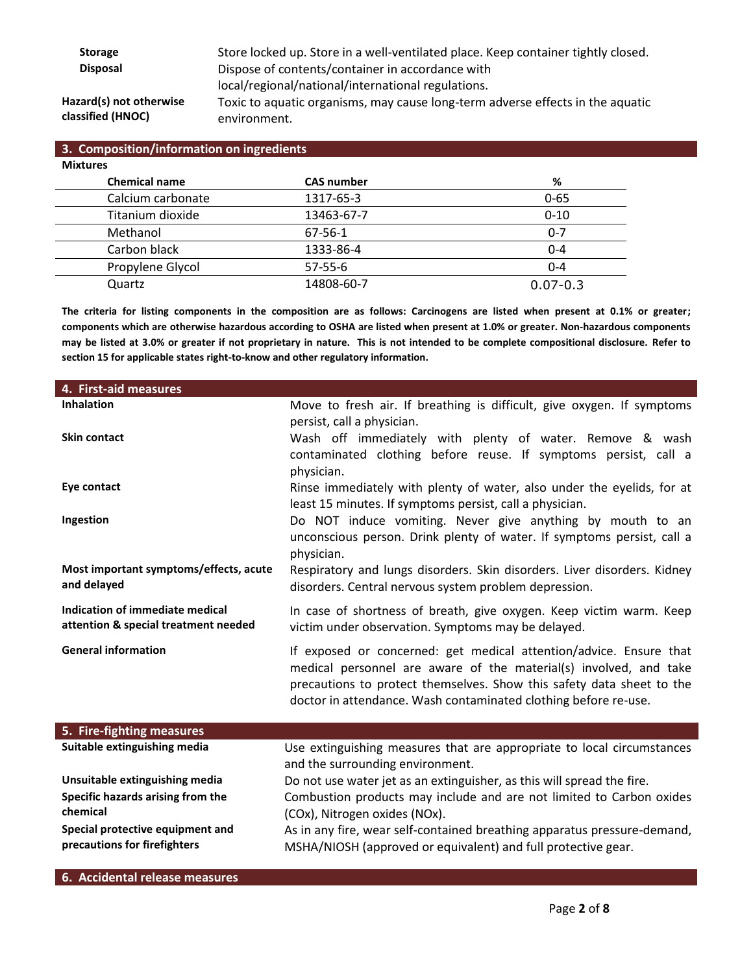**Storage** Store locked up. Store in a well-ventilated place. Keep container tightly closed. **Disposal** Dispose of contents/container in accordance with local/regional/national/international regulations.

# **Hazard(s) not otherwise classified (HNOC)**

Toxic to aquatic organisms, may cause long-term adverse effects in the aquatic environment.

| 3. Composition/information on ingredients |                   |              |  |  |  |
|-------------------------------------------|-------------------|--------------|--|--|--|
| <b>Mixtures</b>                           |                   |              |  |  |  |
| <b>Chemical name</b>                      | <b>CAS number</b> | %            |  |  |  |
| Calcium carbonate                         | 1317-65-3         | $0 - 65$     |  |  |  |
| Titanium dioxide                          | 13463-67-7        | $0 - 10$     |  |  |  |
| Methanol                                  | 67-56-1           | $0 - 7$      |  |  |  |
| Carbon black                              | 1333-86-4         | $0 - 4$      |  |  |  |
| Propylene Glycol                          | $57 - 55 - 6$     | $0 - 4$      |  |  |  |
| Quartz                                    | 14808-60-7        | $0.07 - 0.3$ |  |  |  |

**The criteria for listing components in the composition are as follows: Carcinogens are listed when present at 0.1% or greater; components which are otherwise hazardous according to OSHA are listed when present at 1.0% or greater. Non-hazardous components may be listed at 3.0% or greater if not proprietary in nature. This is not intended to be complete compositional disclosure. Refer to section 15 for applicable states right-to-know and other regulatory information.**

| 4. First-aid measures                  |                                                                                                                                         |  |
|----------------------------------------|-----------------------------------------------------------------------------------------------------------------------------------------|--|
| <b>Inhalation</b>                      | Move to fresh air. If breathing is difficult, give oxygen. If symptoms                                                                  |  |
|                                        | persist, call a physician.                                                                                                              |  |
| <b>Skin contact</b>                    | Wash off immediately with plenty of water. Remove & wash                                                                                |  |
|                                        | contaminated clothing before reuse. If symptoms persist, call a                                                                         |  |
|                                        | physician.                                                                                                                              |  |
| Eye contact                            | Rinse immediately with plenty of water, also under the eyelids, for at                                                                  |  |
|                                        | least 15 minutes. If symptoms persist, call a physician.                                                                                |  |
| Ingestion                              | Do NOT induce vomiting. Never give anything by mouth to an                                                                              |  |
|                                        | unconscious person. Drink plenty of water. If symptoms persist, call a                                                                  |  |
|                                        | physician.                                                                                                                              |  |
| Most important symptoms/effects, acute | Respiratory and lungs disorders. Skin disorders. Liver disorders. Kidney                                                                |  |
| and delayed                            | disorders. Central nervous system problem depression.                                                                                   |  |
| Indication of immediate medical        | In case of shortness of breath, give oxygen. Keep victim warm. Keep                                                                     |  |
| attention & special treatment needed   | victim under observation. Symptoms may be delayed.                                                                                      |  |
| <b>General information</b>             |                                                                                                                                         |  |
|                                        | If exposed or concerned: get medical attention/advice. Ensure that<br>medical personnel are aware of the material(s) involved, and take |  |
|                                        | precautions to protect themselves. Show this safety data sheet to the                                                                   |  |
|                                        | doctor in attendance. Wash contaminated clothing before re-use.                                                                         |  |
|                                        |                                                                                                                                         |  |
| 5. Fire-fighting measures              |                                                                                                                                         |  |
| Suitable extinguishing media           | Use extinguishing measures that are appropriate to local circumstances                                                                  |  |
|                                        | and the surrounding environment.                                                                                                        |  |
| Unsuitable extinguishing media         | Do not use water jet as an extinguisher, as this will spread the fire.                                                                  |  |
| Specific hazards arising from the      | Combustion products may include and are not limited to Carbon oxides                                                                    |  |
| chemical                               | (COx), Nitrogen oxides (NOx).                                                                                                           |  |
| Special protective equipment and       | As in any fire, wear self-contained breathing apparatus pressure-demand,                                                                |  |
| precautions for firefighters           | MSHA/NIOSH (approved or equivalent) and full protective gear.                                                                           |  |

#### **6. Accidental release measures**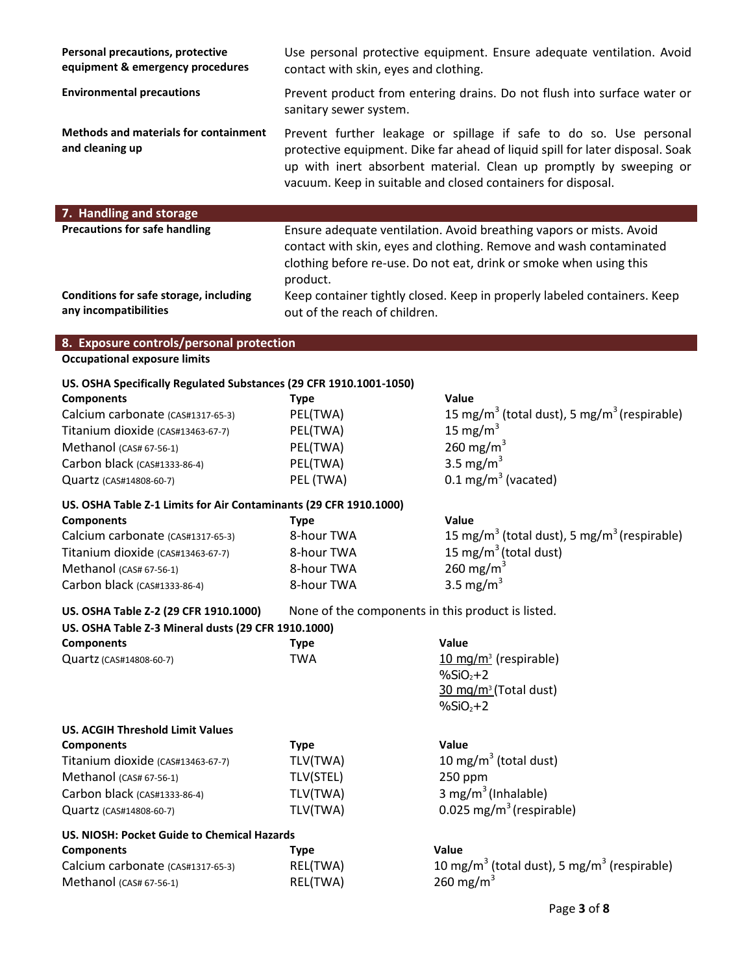| Personal precautions, protective<br>equipment & emergency procedures | Use personal protective equipment. Ensure adequate ventilation. Avoid<br>contact with skin, eyes and clothing.                                                                                                                                                                            |
|----------------------------------------------------------------------|-------------------------------------------------------------------------------------------------------------------------------------------------------------------------------------------------------------------------------------------------------------------------------------------|
| <b>Environmental precautions</b>                                     | Prevent product from entering drains. Do not flush into surface water or<br>sanitary sewer system.                                                                                                                                                                                        |
| <b>Methods and materials for containment</b><br>and cleaning up      | Prevent further leakage or spillage if safe to do so. Use personal<br>protective equipment. Dike far ahead of liquid spill for later disposal. Soak<br>up with inert absorbent material. Clean up promptly by sweeping or<br>vacuum. Keep in suitable and closed containers for disposal. |
|                                                                      |                                                                                                                                                                                                                                                                                           |
|                                                                      |                                                                                                                                                                                                                                                                                           |
| 7. Handling and storage<br><b>Precautions for safe handling</b>      | Ensure adequate ventilation. Avoid breathing vapors or mists. Avoid<br>contact with skin, eyes and clothing. Remove and wash contaminated<br>clothing before re-use. Do not eat, drink or smoke when using this<br>product.                                                               |
| Conditions for safe storage, including<br>any incompatibilities      | Keep container tightly closed. Keep in properly labeled containers. Keep<br>out of the reach of children.                                                                                                                                                                                 |
| 8. Exposure controls/personal protection                             |                                                                                                                                                                                                                                                                                           |

#### **US. OSHA Specifically Regulated Substances (29 CFR 1910.1001-1050)**

| <b>Components</b>                 | Type      | Value                                                               |
|-----------------------------------|-----------|---------------------------------------------------------------------|
| Calcium carbonate (CAS#1317-65-3) | PEL(TWA)  | 15 mg/m <sup>3</sup> (total dust), 5 mg/m <sup>3</sup> (respirable) |
| Titanium dioxide (CAS#13463-67-7) | PEL(TWA)  | 15 mg/m $^3$                                                        |
| Methanol (CAS# 67-56-1)           | PEL(TWA)  | 260 mg/m <sup>3</sup>                                               |
| Carbon black (CAS#1333-86-4)      | PEL(TWA)  | 3.5 mg/m <sup>3</sup>                                               |
| Quartz (CAS#14808-60-7)           | PEL (TWA) | 0.1 mg/m <sup>3</sup> (vacated)                                     |

#### **US. OSHA Table Z-1 Limits for Air Contaminants (29 CFR 1910.1000)**

| <b>Components</b>                 | Tvpe       | Value                                                               |
|-----------------------------------|------------|---------------------------------------------------------------------|
| Calcium carbonate (CAS#1317-65-3) | 8-hour TWA | 15 mg/m <sup>3</sup> (total dust), 5 mg/m <sup>3</sup> (respirable) |
| Titanium dioxide (CAS#13463-67-7) | 8-hour TWA | 15 mg/m <sup>3</sup> (total dust)                                   |
| Methanol (CAS# 67-56-1)           | 8-hour TWA | 260 mg/m <sup>3</sup>                                               |
| Carbon black (CAS#1333-86-4)      | 8-hour TWA | 3.5 mg/m <sup>3</sup>                                               |
|                                   |            |                                                                     |

# **US. OSHA Table Z-2 (29 CFR 1910.1000)** None of the components in this product is listed. **US. OSHA Table Z-3 Mineral dusts (29 CFR 1910.1000)**

| <b>Components</b>       | Type | Value                                          |
|-------------------------|------|------------------------------------------------|
| Quartz (CAS#14808-60-7) | TWA  | $10 \text{ mg/m}^3$ (respirable)               |
|                         |      | $%SiO, +2$<br>$30 \text{ mg/m}^3$ (Total dust) |
|                         |      | $%SiO, +2$                                     |

| <b>US. ACGIH Threshold Limit Values</b> |           |                                      |
|-----------------------------------------|-----------|--------------------------------------|
| <b>Components</b>                       | Type      | Value                                |
| Titanium dioxide (CAS#13463-67-7)       | TLV(TWA)  | 10 mg/m <sup>3</sup> (total dust)    |
| Methanol (CAS# 67-56-1)                 | TLV(STEL) | $250$ ppm                            |
| Carbon black (CAS#1333-86-4)            | TLV(TWA)  | 3 mg/m <sup>3</sup> (Inhalable)      |
| Quartz (CAS#14808-60-7)                 | TLV(TWA)  | 0.025 mg/m <sup>3</sup> (respirable) |

## **US. NIOSH: Pocket Guide to Chemical Hazards Components Type Value**

| <u>sanibanch</u>                  | . ,      | .                                                                   |
|-----------------------------------|----------|---------------------------------------------------------------------|
| Calcium carbonate (CAS#1317-65-3) | REL(TWA) | 10 mg/m <sup>3</sup> (total dust), 5 mg/m <sup>3</sup> (respirable) |
| Methanol (CAS# 67-56-1)           | REL(TWA) | 260 mg/m <sup>3</sup>                                               |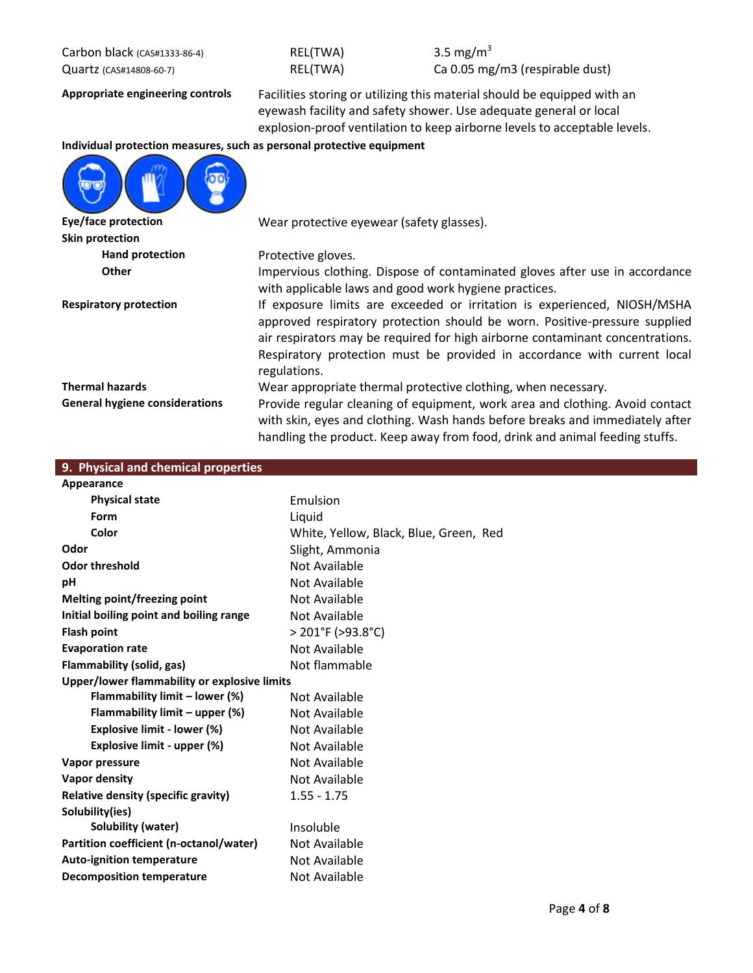Carbon black ( $\text{c}_{\text{A}}$  ( $\text{c}_{\text{A}}$  as  $\text{REL(TWA)}$  3.5 mg/m<sup>3</sup>

| REL(TWA) |  |
|----------|--|
| REL(TWA) |  |

Quartz (CAS#14808-60-7) REL(TWA) Ca 0.05 mg/m3 (respirable dust)

**Appropriate engineering controls** Facilities storing or utilizing this material should be equipped with an eyewash facility and safety shower. Use adequate general or local explosion-proof ventilation to keep airborne levels to acceptable levels.

## **Individual protection measures, such as personal protective equipment**



**Skin protection** Hand protection **Protective gloves**.

**Eye/face protection** Wear protective eyewear (safety glasses).

**Other** Impervious clothing. Dispose of contaminated gloves after use in accordance with applicable laws and good work hygiene practices.

**Respiratory protection** If exposure limits are exceeded or irritation is experienced, NIOSH/MSHA approved respiratory protection should be worn. Positive-pressure supplied air respirators may be required for high airborne contaminant concentrations. Respiratory protection must be provided in accordance with current local regulations.

**Thermal hazards Wear appropriate thermal protective clothing, when necessary. General hygiene considerations** Provide regular cleaning of equipment, work area and clothing. Avoid contact

with skin, eyes and clothing. Wash hands before breaks and immediately after handling the product. Keep away from food, drink and animal feeding stuffs.

|  |  |  | 9. Physical and chemical properties |  |
|--|--|--|-------------------------------------|--|
|  |  |  |                                     |  |

| Appearance                                   |                                        |
|----------------------------------------------|----------------------------------------|
| <b>Physical state</b>                        | Emulsion                               |
| Form                                         | Liquid                                 |
| Color                                        | White, Yellow, Black, Blue, Green, Red |
| Odor                                         | Slight, Ammonia                        |
| <b>Odor threshold</b>                        | Not Available                          |
| рH                                           | Not Available                          |
| Melting point/freezing point                 | Not Available                          |
| Initial boiling point and boiling range      | Not Available                          |
| <b>Flash point</b>                           | > 201°F (>93.8°C)                      |
| <b>Evaporation rate</b>                      | Not Available                          |
| Flammability (solid, gas)                    | Not flammable                          |
| Upper/lower flammability or explosive limits |                                        |
| Flammability limit – lower (%)               | Not Available                          |
| Flammability limit – upper (%)               | Not Available                          |
| Explosive limit - lower (%)                  | Not Available                          |
| Explosive limit - upper (%)                  | Not Available                          |
| Vapor pressure                               | Not Available                          |
| Vapor density                                | Not Available                          |
| Relative density (specific gravity)          | $1.55 - 1.75$                          |
| Solubility(ies)                              |                                        |
| Solubility (water)                           | Insoluble                              |
| Partition coefficient (n-octanol/water)      | Not Available                          |
| <b>Auto-ignition temperature</b>             | Not Available                          |
| <b>Decomposition temperature</b>             | Not Available                          |
|                                              |                                        |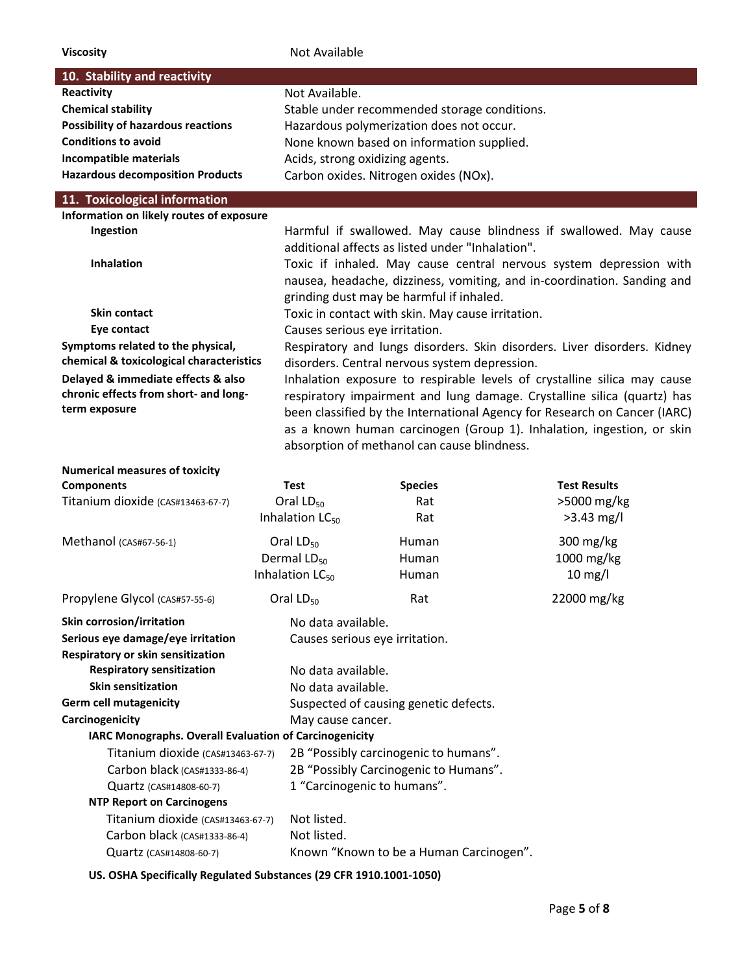| <b>Viscosity</b>                                                              | Not Available               |                                                   |                                                                           |  |
|-------------------------------------------------------------------------------|-----------------------------|---------------------------------------------------|---------------------------------------------------------------------------|--|
| 10. Stability and reactivity                                                  |                             |                                                   |                                                                           |  |
| Reactivity                                                                    | Not Available.              |                                                   |                                                                           |  |
| <b>Chemical stability</b>                                                     |                             | Stable under recommended storage conditions.      |                                                                           |  |
| <b>Possibility of hazardous reactions</b>                                     |                             | Hazardous polymerization does not occur.          |                                                                           |  |
| <b>Conditions to avoid</b>                                                    |                             | None known based on information supplied.         |                                                                           |  |
| Incompatible materials                                                        |                             | Acids, strong oxidizing agents.                   |                                                                           |  |
| <b>Hazardous decomposition Products</b>                                       |                             | Carbon oxides. Nitrogen oxides (NOx).             |                                                                           |  |
| 11. Toxicological information                                                 |                             |                                                   |                                                                           |  |
| Information on likely routes of exposure                                      |                             |                                                   |                                                                           |  |
| Ingestion                                                                     |                             |                                                   | Harmful if swallowed. May cause blindness if swallowed. May cause         |  |
|                                                                               |                             | additional affects as listed under "Inhalation".  |                                                                           |  |
| <b>Inhalation</b>                                                             |                             |                                                   | Toxic if inhaled. May cause central nervous system depression with        |  |
|                                                                               |                             |                                                   | nausea, headache, dizziness, vomiting, and in-coordination. Sanding and   |  |
|                                                                               |                             | grinding dust may be harmful if inhaled.          |                                                                           |  |
| <b>Skin contact</b>                                                           |                             | Toxic in contact with skin. May cause irritation. |                                                                           |  |
| Eye contact                                                                   |                             | Causes serious eye irritation.                    |                                                                           |  |
| Symptoms related to the physical,<br>chemical & toxicological characteristics |                             |                                                   | Respiratory and lungs disorders. Skin disorders. Liver disorders. Kidney  |  |
| Delayed & immediate effects & also                                            |                             | disorders. Central nervous system depression.     | Inhalation exposure to respirable levels of crystalline silica may cause  |  |
| chronic effects from short- and long-                                         |                             |                                                   | respiratory impairment and lung damage. Crystalline silica (quartz) has   |  |
| term exposure                                                                 |                             |                                                   | been classified by the International Agency for Research on Cancer (IARC) |  |
|                                                                               |                             |                                                   | as a known human carcinogen (Group 1). Inhalation, ingestion, or skin     |  |
|                                                                               |                             | absorption of methanol can cause blindness.       |                                                                           |  |
|                                                                               |                             |                                                   |                                                                           |  |
| <b>Numerical measures of toxicity</b>                                         |                             |                                                   |                                                                           |  |
| <b>Components</b>                                                             | <b>Test</b>                 | <b>Species</b>                                    | <b>Test Results</b>                                                       |  |
| Titanium dioxide (CAS#13463-67-7)                                             | Oral LD <sub>50</sub>       | Rat                                               | >5000 mg/kg                                                               |  |
|                                                                               | Inhalation LC <sub>50</sub> | Rat                                               | $>3.43$ mg/l                                                              |  |
| Methanol (CAS#67-56-1)                                                        | Oral $LD_{50}$              | Human                                             | 300 mg/kg                                                                 |  |
|                                                                               | Dermal $LD_{50}$            | Human                                             | 1000 mg/kg                                                                |  |
|                                                                               | Inhalation LC <sub>50</sub> | Human                                             | $10$ mg/l                                                                 |  |
| Propylene Glycol (CAS#57-55-6)                                                | Oral LD <sub>50</sub>       | Rat                                               | 22000 mg/kg                                                               |  |
| <b>Skin corrosion/irritation</b>                                              | No data available.          |                                                   |                                                                           |  |
| Serious eye damage/eye irritation                                             |                             | Causes serious eye irritation.                    |                                                                           |  |
| Respiratory or skin sensitization                                             |                             |                                                   |                                                                           |  |
| <b>Respiratory sensitization</b>                                              | No data available.          |                                                   |                                                                           |  |
| <b>Skin sensitization</b>                                                     | No data available.          |                                                   |                                                                           |  |
| <b>Germ cell mutagenicity</b>                                                 |                             | Suspected of causing genetic defects.             |                                                                           |  |
| Carcinogenicity                                                               | May cause cancer.           |                                                   |                                                                           |  |
| IARC Monographs. Overall Evaluation of Carcinogenicity                        |                             |                                                   |                                                                           |  |
| Titanium dioxide (CAS#13463-67-7)                                             |                             | 2B "Possibly carcinogenic to humans".             |                                                                           |  |
| Carbon black (CAS#1333-86-4)                                                  |                             | 2B "Possibly Carcinogenic to Humans".             |                                                                           |  |
| Quartz (CAS#14808-60-7)                                                       |                             | 1 "Carcinogenic to humans".                       |                                                                           |  |
| <b>NTP Report on Carcinogens</b>                                              |                             |                                                   |                                                                           |  |
| Titanium dioxide (CAS#13463-67-7)                                             | Not listed.                 |                                                   |                                                                           |  |
| Carbon black (CAS#1333-86-4)                                                  | Not listed.                 | Known "Known to be a Human Carcinogen".           |                                                                           |  |
| Quartz (CAS#14808-60-7)                                                       |                             |                                                   |                                                                           |  |
| US. OSHA Specifically Regulated Substances (29 CFR 1910.1001-1050)            |                             |                                                   |                                                                           |  |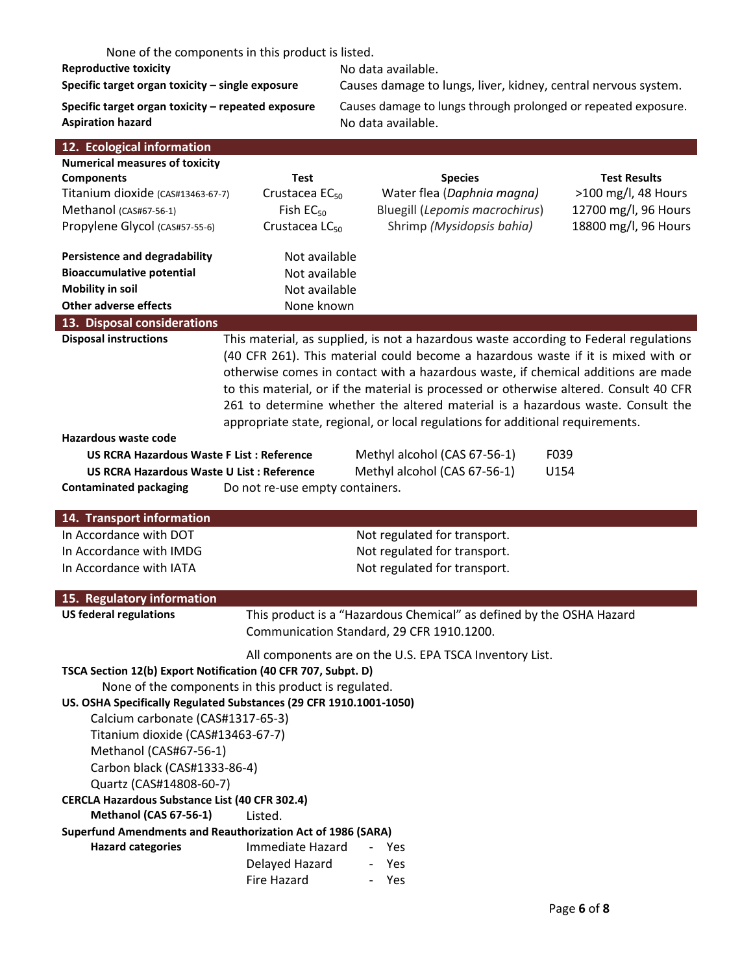None of the components in this product is listed.

**Reproductive toxicity**<br>Specific target organ toxicity – single exposure Causes damage to

**Specific target organ toxicity – single exposure** Causes damage to lungs, liver, kidney, central nervous system.

Aspiration hazard **Aspiration hazard** No data available.

**Specific target organ toxicity – repeated exposure** Causes damage to lungs through prolonged or repeated exposure.

| 12. Ecological information                                         |                                                                                                                   |                                                                                        |                      |  |
|--------------------------------------------------------------------|-------------------------------------------------------------------------------------------------------------------|----------------------------------------------------------------------------------------|----------------------|--|
| <b>Numerical measures of toxicity</b>                              |                                                                                                                   |                                                                                        |                      |  |
| <b>Components</b>                                                  | <b>Test</b>                                                                                                       | <b>Species</b>                                                                         | <b>Test Results</b>  |  |
| Titanium dioxide (CAS#13463-67-7)                                  | Crustacea EC <sub>50</sub>                                                                                        | Water flea (Daphnia magna)                                                             | >100 mg/l, 48 Hours  |  |
| Methanol (CAS#67-56-1)                                             | Fish $EC_{50}$                                                                                                    | Bluegill (Lepomis macrochirus)                                                         | 12700 mg/l, 96 Hours |  |
| Propylene Glycol (CAS#57-55-6)                                     | Crustacea LC <sub>50</sub>                                                                                        | Shrimp (Mysidopsis bahia)                                                              | 18800 mg/l, 96 Hours |  |
| <b>Persistence and degradability</b>                               | Not available                                                                                                     |                                                                                        |                      |  |
| <b>Bioaccumulative potential</b>                                   | Not available                                                                                                     |                                                                                        |                      |  |
| <b>Mobility in soil</b>                                            | Not available                                                                                                     |                                                                                        |                      |  |
| <b>Other adverse effects</b>                                       | None known                                                                                                        |                                                                                        |                      |  |
| 13. Disposal considerations                                        |                                                                                                                   |                                                                                        |                      |  |
| <b>Disposal instructions</b>                                       |                                                                                                                   | This material, as supplied, is not a hazardous waste according to Federal regulations  |                      |  |
|                                                                    |                                                                                                                   | (40 CFR 261). This material could become a hazardous waste if it is mixed with or      |                      |  |
|                                                                    |                                                                                                                   | otherwise comes in contact with a hazardous waste, if chemical additions are made      |                      |  |
|                                                                    |                                                                                                                   | to this material, or if the material is processed or otherwise altered. Consult 40 CFR |                      |  |
|                                                                    |                                                                                                                   | 261 to determine whether the altered material is a hazardous waste. Consult the        |                      |  |
|                                                                    |                                                                                                                   | appropriate state, regional, or local regulations for additional requirements.         |                      |  |
| Hazardous waste code                                               |                                                                                                                   |                                                                                        |                      |  |
| <b>US RCRA Hazardous Waste F List: Reference</b>                   |                                                                                                                   | Methyl alcohol (CAS 67-56-1)                                                           | F039                 |  |
| <b>US RCRA Hazardous Waste U List: Reference</b>                   |                                                                                                                   | Methyl alcohol (CAS 67-56-1)                                                           | U154                 |  |
| <b>Contaminated packaging</b>                                      | Do not re-use empty containers.                                                                                   |                                                                                        |                      |  |
|                                                                    |                                                                                                                   |                                                                                        |                      |  |
| 14. Transport information                                          |                                                                                                                   |                                                                                        |                      |  |
| In Accordance with DOT                                             |                                                                                                                   | Not regulated for transport.                                                           |                      |  |
| In Accordance with IMDG                                            |                                                                                                                   | Not regulated for transport.                                                           |                      |  |
| In Accordance with IATA                                            |                                                                                                                   | Not regulated for transport.                                                           |                      |  |
| 15. Regulatory information                                         |                                                                                                                   |                                                                                        |                      |  |
| <b>US federal regulations</b>                                      | This product is a "Hazardous Chemical" as defined by the OSHA Hazard<br>Communication Standard, 29 CFR 1910.1200. |                                                                                        |                      |  |
|                                                                    |                                                                                                                   |                                                                                        |                      |  |
|                                                                    |                                                                                                                   | All components are on the U.S. EPA TSCA Inventory List.                                |                      |  |
| TSCA Section 12(b) Export Notification (40 CFR 707, Subpt. D)      |                                                                                                                   |                                                                                        |                      |  |
| None of the components in this product is regulated.               |                                                                                                                   |                                                                                        |                      |  |
| US. OSHA Specifically Regulated Substances (29 CFR 1910.1001-1050) |                                                                                                                   |                                                                                        |                      |  |
| Calcium carbonate (CAS#1317-65-3)                                  |                                                                                                                   |                                                                                        |                      |  |
| Titanium dioxide (CAS#13463-67-7)                                  |                                                                                                                   |                                                                                        |                      |  |
| Methanol (CAS#67-56-1)                                             |                                                                                                                   |                                                                                        |                      |  |
| Carbon black (CAS#1333-86-4)                                       |                                                                                                                   |                                                                                        |                      |  |
| Quartz (CAS#14808-60-7)                                            |                                                                                                                   |                                                                                        |                      |  |
| <b>CERCLA Hazardous Substance List (40 CFR 302.4)</b>              |                                                                                                                   |                                                                                        |                      |  |
| Methanol (CAS 67-56-1)<br>Listed.                                  |                                                                                                                   |                                                                                        |                      |  |
| <b>Superfund Amendments and Reauthorization Act of 1986 (SARA)</b> |                                                                                                                   |                                                                                        |                      |  |
| <b>Hazard categories</b>                                           | Immediate Hazard                                                                                                  | - Yes                                                                                  |                      |  |
|                                                                    | Delayed Hazard                                                                                                    | Yes                                                                                    |                      |  |
|                                                                    | Fire Hazard                                                                                                       | Yes                                                                                    |                      |  |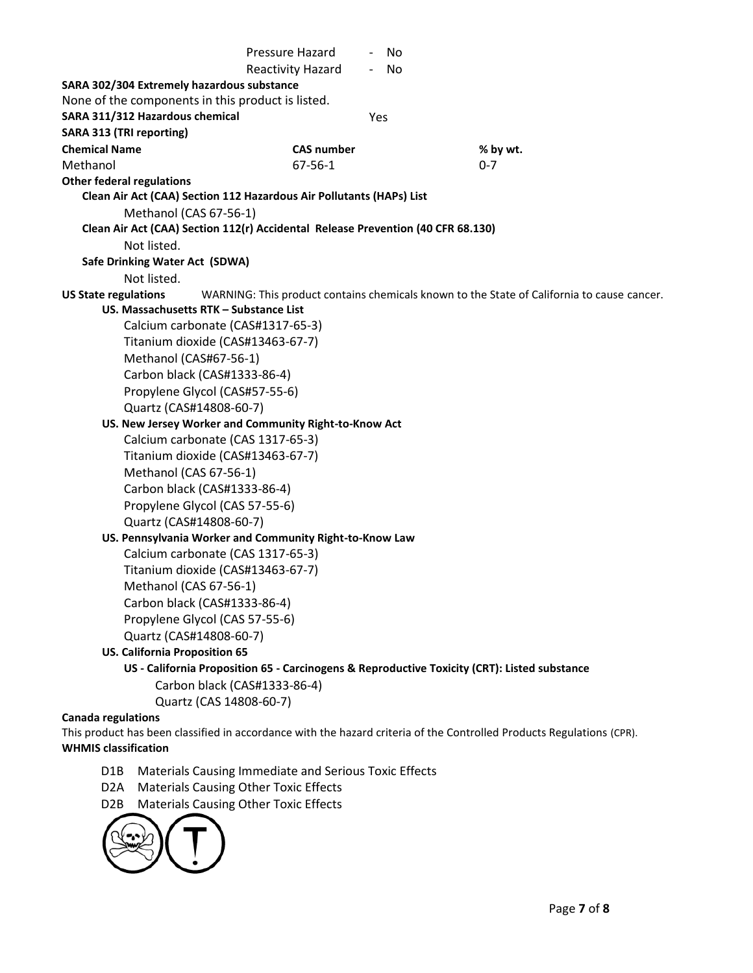Pressure Hazard - No Reactivity Hazard - No **SARA 302/304 Extremely hazardous substance** None of the components in this product is listed. **SARA 311/312 Hazardous chemical** Yes **SARA 313 (TRI reporting) Chemical Name CAS number % by wt.** Methanol 0-7 **Other federal regulations Clean Air Act (CAA) Section 112 Hazardous Air Pollutants (HAPs) List** Methanol (CAS 67-56-1) **Clean Air Act (CAA) Section 112(r) Accidental Release Prevention (40 CFR 68.130)** Not listed. **Safe Drinking Water Act (SDWA)** Not listed. **US State regulations** WARNING: This product contains chemicals known to the State of California to cause cancer. **US. Massachusetts RTK – Substance List** Calcium carbonate (CAS#1317-65-3) Titanium dioxide (CAS#13463-67-7) Methanol (CAS#67-56-1) Carbon black (CAS#1333-86-4) Propylene Glycol (CAS#57-55-6) Quartz (CAS#14808-60-7) **US. New Jersey Worker and Community Right-to-Know Act** Calcium carbonate (CAS 1317-65-3) Titanium dioxide (CAS#13463-67-7) Methanol (CAS 67-56-1) Carbon black (CAS#1333-86-4) Propylene Glycol (CAS 57-55-6) Quartz (CAS#14808-60-7) **US. Pennsylvania Worker and Community Right-to-Know Law** Calcium carbonate (CAS 1317-65-3) Titanium dioxide (CAS#13463-67-7) Methanol (CAS 67-56-1) Carbon black (CAS#1333-86-4) Propylene Glycol (CAS 57-55-6) Quartz (CAS#14808-60-7) **US. California Proposition 65 US - California Proposition 65 - Carcinogens & Reproductive Toxicity (CRT): Listed substance** Carbon black (CAS#1333-86-4) Quartz (CAS 14808-60-7) **Canada regulations** This product has been classified in accordance with the hazard criteria of the Controlled Products Regulations (CPR). **WHMIS classification** D1B Materials Causing Immediate and Serious Toxic Effects D2A Materials Causing Other Toxic Effects D2B Materials Causing Other Toxic Effects